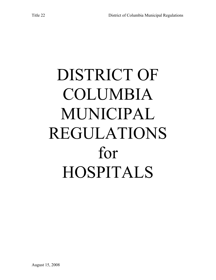# DISTRICT OF COLUMBIA MUNICIPAL REGULATIONS for HOSPITALS

August 15, 2008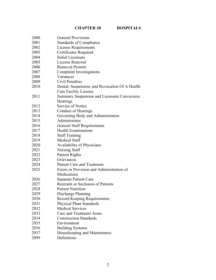# **CHAPTER 20 HOSPITALS**

| 2000 | <b>General Provisions</b>                      |
|------|------------------------------------------------|
| 2001 | <b>Standards of Compliance</b>                 |
| 2002 | <b>License Requirements</b>                    |
| 2003 | Certificates Required                          |
| 2004 | Initial Licensure                              |
| 2005 | License Renewal                                |
| 2006 | <b>Removal Permits</b>                         |
| 2007 | <b>Complaint Investigations</b>                |
| 2008 | Variances                                      |
| 2009 | Civil Penalties                                |
| 2010 | Denial, Suspension, and Revocation Of A Health |
|      | Care Facility License                          |
| 2011 | Summary Suspension and Licensure Conversion,   |
|      | Hearings                                       |
| 2012 | Service of Notice                              |
| 2013 | <b>Conduct of Hearings</b>                     |
| 2014 | Governing Body and Administration              |
| 2015 | Administrator                                  |
| 2016 | <b>General Staff Requirements</b>              |
| 2017 | <b>Health Examinations</b>                     |
| 2018 | <b>Staff Training</b>                          |
| 2019 | <b>Medical Staff</b>                           |
| 2020 | Availability of Physicians                     |
| 2021 | <b>Nursing Staff</b>                           |
| 2022 | <b>Patient Rights</b>                          |
| 2023 | Grievances                                     |
| 2024 | <b>Patient Care and Treatment</b>              |
| 2025 | Errors in Provision and Administration of      |
|      | Medications                                    |
| 2026 | <b>Separate Patient Care</b>                   |
| 2027 | Restraint or Seclusion of Patients             |
| 2028 | <b>Patient Nutrition</b>                       |
| 2029 | Discharge Planning                             |
| 2030 | Record Keeping Requirements.                   |
| 2031 | <b>Physical Plant Standards</b>                |
| 2032 | <b>Medical Services</b>                        |
| 2033 | Care and Treatment Areas                       |
| 2034 | <b>Construction Standards</b>                  |
| 2035 | Environment                                    |
| 2036 | <b>Building Systems</b>                        |
| 2037 | Housekeeping and Maintenance                   |
| 2099 | Definitions                                    |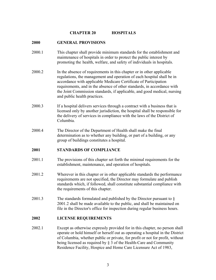#### **CHAPTER 20 HOSPITALS**

#### **2000 GENERAL PROVISIONS**

- 2000.1 This chapter shall provide minimum standards for the establishment and maintenance of hospitals in order to protect the public interest by promoting the health, welfare, and safety of individuals in hospitals.
- 2000.2 In the absence of requirements in this chapter or in other applicable regulations, the management and operation of each hospital shall be in accordance with applicable Medicare Certificate of Participation requirements, and in the absence of other standards, in accordance with the Joint Commission standards, if applicable, and good medical, nursing and public health practices.
- 2000.3 If a hospital delivers services through a contract with a business that is licensed only by another jurisdiction, the hospital shall be responsible for the delivery of services in compliance with the laws of the District of Columbia.
- 2000.4 The Director of the Department of Health shall make the final determination as to whether any building, or part of a building, or any group of buildings constitutes a hospital.

# **2001 STANDARDS OF COMPLIANCE**

- 2001.1 The provisions of this chapter set forth the minimal requirements for the establishment, maintenance, and operation of hospitals.
- 2001.2 Wherever in this chapter or in other applicable standards the performance requirements are not specified, the Director may formulate and publish standards which, if followed, shall constitute substantial compliance with the requirements of this chapter.
- 2001.3 The standards formulated and published by the Director pursuant to § 2001.2 shall be made available to the public, and shall be maintained on file in the Director's office for inspection during regular business hours.

#### **2002 LICENSE REQUIREMENTS**

2002.1 Except as otherwise expressly provided for in this chapter, no person shall operate or hold himself or herself out as operating a hospital in the District of Columbia, whether public or private, for profit or not for profit, without being licensed as required by § 3 of the Health-Care and Community Residence Facility, Hospice and Home Care Licensure Act of 1983,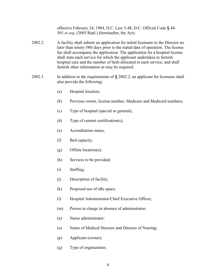effective February 24, 1984, D.C. Law 5-48, D.C. Official Code § 44- 501 *et seq*. (2005 Repl.) (hereinafter, the Act).

- 2002.2A facility shall submit an application for initial licensure to the Director no later than ninety (90) days prior to the stated date of operation. The license fee shall accompany the application. The application for a hospital license shall state each service for which the applicant undertakes to furnish hospital care and the number of beds allocated to each service; and shall furnish other information as may be required.
- 2002.3 In addition to the requirements of § 2002.2, an applicant for licensure shall also provide the following:
	- (a) Hospital location;
	- (b) Previous owner, license number, Medicare and Medicaid numbers;
	- (c) Type of hospital (special or general);
	- (d) Type of current certification(s);
	- (e) Accreditation status;
	- (f) Bed capacity;
	- (g) Offsite location(s);
	- (h) Services to be provided;
	- (i) Staffing;
	- (j) Description of facility;
	- (k) Proposed use of idle space;
	- (l) Hospital Administrator/Chief Executive Officer;
	- (m) Person in charge in absence of administrator;
	- (n) Nurse administrator:
	- (o) Name of Medical Director and Director of Nursing;
	- (p) Applicant (owner);
	- (q) Type of organization;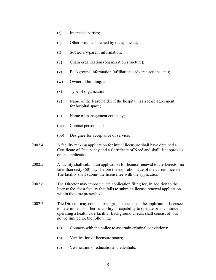- (r) Interested parties;
- (s) Other providers owned by the applicant;
- (t) Subsidiary/parent information;
- (u) Chain organization (organization structure);
- (v) Background information (affiliations, adverse actions, etc);
- (w) Owner of building/land;
- (x) Type of organization;
- (y) Name of the lease holder if the hospital has a lease agreement for hospital space;
- (z) Name of management company;
- (aa) Contact person; and
- (bb) Designee for acceptance of service.
- 2002.4 A facility making application for initial licensure shall have obtained a Certificate of Occupancy and a Certificate of Need and shall list approvals on the application.
- 2002.5 A facility shall submit an application for license renewal to the Director no later than sixty (60) days before the expiration date of the current license. The facility shall submit the license fee with the application.
- 2002.6 The Director may impose a late application filing fee, in addition to the license fee, for a facility that fails to submit a license renewal application within the time prescribed.
- 2002.7 The Director may conduct background checks on the applicant or licensee to determine his or her suitability or capability to operate or to continue operating a health care facility. Background checks shall consist of, but not be limited to, the following:
	- (a) Contacts with the police to ascertain criminal convictions;
	- (b) Verification of licensure status;
	- (c) Verification of educational credentials;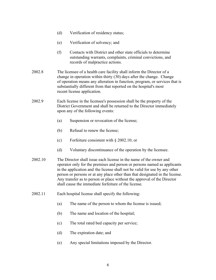- (d) Verification of residency status;
- (e) Verification of solvency; and
- (f) Contacts with District and other state officials to determine outstanding warrants, complaints, criminal convictions, and records of malpractice actions.
- 2002.8 The licensee of a health care facility shall inform the Director of a change in operation within thirty (30) days after the change. Change of operation means any alteration in function, program, or services that is substantially different from that reported on the hospital's most recent license application.
- 2002.9 Each license in the licensee's possession shall be the property of the District Government and shall be returned to the Director immediately upon any of the following events:
	- (a) Suspension or revocation of the license;
	- (b) Refusal to renew the license;
	- (c) Forfeiture consistent with § 2002.10; or
	- (d) Voluntary discontinuance of the operation by the licensee.
- 2002.10 The Director shall issue each license in the name of the owner and operator only for the premises and person or persons named as applicants in the application and the license shall not be valid for use by any other person or persons or at any place other than that designated in the license. Any transfer as to person or place without the approval of the Director shall cause the immediate forfeiture of the license.
- 2002.11 Each hospital license shall specify the following:
	- (a) The name of the person to whom the license is issued;
	- (b) The name and location of the hospital;
	- (c) The total rated bed capacity per service;
	- (d) The expiration date; and
	- (e) Any special limitations imposed by the Director.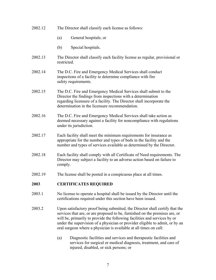- 2002.12 The Director shall classify each license as follows:
	- (a) General hospitals; or
	- (b) Special hospitals.
- 2002.13 The Director shall classify each facility license as regular, provisional or restricted.
- 2002.14 The D.C. Fire and Emergency Medical Services shall conduct inspections of a facility to determine compliance with fire safety requirements.
- 2002.15 The D.C. Fire and Emergency Medical Services shall submit to the Director the findings from inspections with a determination regarding licensure of a facility. The Director shall incorporate the determination in the licensure recommendation.
- 2002.16 The D.C. Fire and Emergency Medical Services shall take action as deemed necessary against a facility for noncompliance with regulations under its jurisdiction.
- 2002.17 Each facility shall meet the minimum requirements for insurance as appropriate for the number and types of beds in the facility and the number and types of services available as determined by the Director.
- 2002.18 Each facility shall comply with all Certificate of Need requirements. The Director may subject a facility to an adverse action based on failure to comply.
- 2002.19 The license shall be posted in a conspicuous place at all times.

#### **2003 CERTIFICATES REQUIRED**

- 2003.1 No license to operate a hospital shall be issued by the Director until the certifications required under this section have been issued.
- 2003.2 Upon satisfactory proof being submitted, the Director shall certify that the services that are, or are proposed to be, furnished on the premises are, or will be, primarily to provide the following facilities and services by or under the supervision of a physician or provider eligible to admit, or by an oral surgeon where a physician is available at all times on call:
	- (a) Diagnostic facilities and services and therapeutic facilities and services for surgical or medical diagnosis, treatment, and care of injured, disabled, or sick persons; or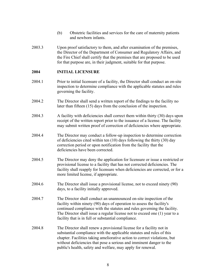- (b) Obstetric facilities and services for the care of maternity patients and newborn infants.
- 2003.3 Upon proof satisfactory to them, and after examination of the premises, the Director of the Department of Consumer and Regulatory Affairs, and the Fire Chief shall certify that the premises that are proposed to be used for that purpose are, in their judgment, suitable for that purpose.

#### **2004 INITIAL LICENSURE**

- 2004.1 Prior to initial licensure of a facility, the Director shall conduct an on-site inspection to determine compliance with the applicable statutes and rules governing the facility.
- 2004.2 The Director shall send a written report of the findings to the facility no later than fifteen (15) days from the conclusion of the inspection.
- 2004.3 A facility with deficiencies shall correct them within thirty (30) days upon receipt of the written report prior to the issuance of a license. The facility may submit written proof of correction of deficiencies where appropriate.
- 2004.4The Director may conduct a follow-up inspection to determine correction of deficiencies cited within ten (10) days following the thirty (30) day correction period or upon notification from the facility that the deficiencies have been corrected.
- 2004.5 The Director may deny the application for licensure or issue a restricted or provisional license to a facility that has not corrected deficiencies. The facility shall reapply for licensure when deficiencies are corrected, or for a more limited license, if appropriate.
- 2004.6 The Director shall issue a provisional license, not to exceed ninety (90) days, to a facility initially approved.
- 2004.7 The Director shall conduct an unannounced on-site inspection of the facility within ninety (90) days of operation to assess the facility's continued compliance with the statutes and rules governing the facility. The Director shall issue a regular license not to exceed one (1) year to a facility that is in full or substantial compliance.
- 2004.8 The Director shall renew a provisional license for a facility not in substantial compliance with the applicable statutes and rules of this chapter. Facilities taking ameliorative action to correct violations, but without deficiencies that pose a serious and imminent danger to the public's health, safety and welfare, may apply for renewal.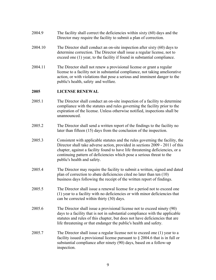- 2004.9 The facility shall correct the deficiencies within sixty (60) days and the Director may require the facility to submit a plan of correction.
- 2004.10 The Director shall conduct an on-site inspection after sixty (60) days to determine correction. The Director shall issue a regular license, not to exceed one (1) year, to the facility if found in substantial compliance.
- 2004.11 The Director shall not renew a provisional license or grant a regular license to a facility not in substantial compliance, not taking ameliorative action, or with violations that pose a serious and imminent danger to the public's health, safety and welfare.

# **2005 LICENSE RENEWAL**

- 2005.1 The Director shall conduct an on-site inspection of a facility to determine compliance with the statutes and rules governing the facility prior to the expiration of the license. Unless otherwise notified, inspections shall be unannounced.
- 2005.2 The Director shall send a written report of the findings to the facility no later than fifteen (15) days from the conclusion of the inspection.
- 2005.3 Consistent with applicable statutes and the rules governing the facility, the Director shall take adverse action, provided in sections 2009 - 2011 of this chapter, against a facility found to have life threatening deficiencies, or a continuing pattern of deficiencies which pose a serious threat to the public's health and safety.
- 2005.4 The Director may require the facility to submit a written, signed and dated plan of correction to abate deficiencies cited no later than ten (10) business days following the receipt of the written report of findings.
- 2005.5 The Director shall issue a renewal license for a period not to exceed one (1) year to a facility with no deficiencies or with minor deficiencies that can be corrected within thirty (30) days.
- 2005.6 The Director shall issue a provisional license not to exceed ninety (90) days to a facility that is not in substantial compliance with the applicable statutes and rules of this chapter, but does not have deficiencies that are life threatening or that endanger the public's health and safety.
- 2005.7 The Director shall issue a regular license not to exceed one (1) year to a facility issued a provisional license pursuant to § 2004.6 that is in full or substantial compliance after ninety (90) days, based on a follow-up inspection.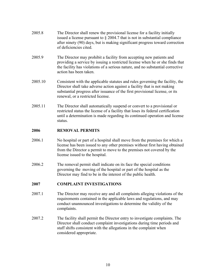- 2005.8 The Director shall renew the provisional license for a facility initially issued a license pursuant to § 2004.7 that is not in substantial compliance after ninety (90) days, but is making significant progress toward correction of deficiencies cited.
- 2005.9 The Director may prohibit a facility from accepting new patients and providing a service by issuing a restricted license when he or she finds that the facility has violations of a serious nature, and no substantial corrective action has been taken.
- 2005.10 Consistent with the applicable statutes and rules governing the facility, the Director shall take adverse action against a facility that is not making substantial progress after issuance of the first provisional license, or its renewal, or a restricted license.
- 2005.11 The Director shall automatically suspend or convert to a provisional or restricted status the license of a facility that loses its federal certification until a determination is made regarding its continued operation and license status.

#### **2006 REMOVAL PERMITS**

- 2006.1 No hospital or part of a hospital shall move from the premises for which a license has been issued to any other premises without first having obtained from the Director a permit to move to the premises not covered by the license issued to the hospital.
- 2006.2 The removal permit shall indicate on its face the special conditions governing the moving of the hospital or part of the hospital as the Director may find to be in the interest of the public health.

# **2007 COMPLAINT INVESTIGATIONS**

- 2007.1 The Director may receive any and all complaints alleging violations of the requirements contained in the applicable laws and regulations, and may conduct unannounced investigations to determine the validity of the complaints.
- 2007.2 The facility shall permit the Director entry to investigate complaints. The Director shall conduct complaint investigations during time periods and staff shifts consistent with the allegations in the complaint when considered appropriate.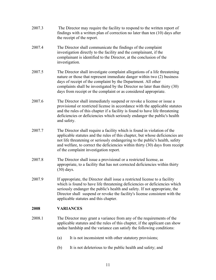- 2007.3 The Director may require the facility to respond to the written report of findings with a written plan of correction no later than ten (10) days after the receipt of the report.
- 2007.4 The Director shall communicate the findings of the complaint investigation directly to the facility and the complainant, if the complainant is identified to the Director, at the conclusion of the investigation.
- 2007.5 The Director shall investigate complaint allegations of a life threatening nature or those that represent immediate danger within two (2) business days of receipt of the complaint by the Department. All other complaints shall be investigated by the Director no later than thirty (30) days from receipt or the complaint or as considered appropriate.
- 2007.6 The Director shall immediately suspend or revoke a license or issue a provisional or restricted license in accordance with the applicable statutes and the rules of this chapter if a facility is found to have life threatening deficiencies or deficiencies which seriously endanger the public's health and safety.
- 2007.7 The Director shall require a facility which is found in violation of the applicable statutes and the rules of this chapter, but whose deficiencies are not life threatening or seriously endangering to the public's health, safety and welfare, to correct the deficiencies within thirty (30) days from receipt of the complaint investigation report.
- 2007.8 The Director shall issue a provisional or a restricted license, as appropriate, to a facility that has not corrected deficiencies within thirty (30) days.
- 2007.9 If appropriate, the Director shall issue a restricted license to a facility which is found to have life threatening deficiencies or deficiencies which seriously endanger the public's health and safety. If not appropriate, the Director shall suspend or revoke the facility's license consistent with the applicable statutes and this chapter.

# **2008 VARIANCES**

- 2008.1 The Director may grant a variance from any of the requirements of the applicable statutes and the rules of this chapter, if the applicant can show undue hardship and the variance can satisfy the following conditions:
	- (a) It is not inconsistent with other statutory provisions;
	- (b) It is not deleterious to the public health and safety; and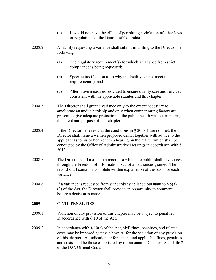- (c) It would not have the effect of permitting a violation of other laws or regulations of the District of Columbia. 2008.2 A facility requesting a variance shall submit in writing to the Director the following: (a) The regulatory requirement(s) for which a variance from strict compliance is being requested; (b) Specific justification as to why the facility cannot meet the requirement(s); and (c) Alternative measures provided to ensure quality care and services consistent with the applicable statutes and this chapter. 2008.3 The Director shall grant a variance only to the extent necessary to ameliorate an undue hardship and only when compensating factors are present to give adequate protection to the public health without impairing the intent and purpose of this chapter. 2008.4 If the Director believes that the conditions in § 2008.1 are not met, the Director shall issue a written proposed denial together with advice to the applicant as to his or her right to a hearing on the matter which shall be conducted by the Office of Administrative Hearings in accordance with § 2013. 2008.5 The Director shall maintain a record, to which the public shall have access through the Freedom of Information Act, of all variances granted. The record shall contain a complete written explanation of the basis for each variance. 2008.6 If a variance is requested from standards established pursuant to  $\S$  5(a) (3) of the Act, the Director shall provide an opportunity to comment before a decision is made. **2009 CIVIL PENALTIES**  2009.1 Violation of any provision of this chapter may be subject to penalties in accordance with § 10 of the Act. 2009.2 In accordance with  $\S$  10(e) of the Act, civil fines, penalties, and related costs may be imposed against a hospital for the violation of any provision of this chapter. Adjudication, enforcement and applicable fines, penalties
	- 12

of the D.C. Official Code.

and costs shall be those established by or pursuant to Chapter 18 of Title 2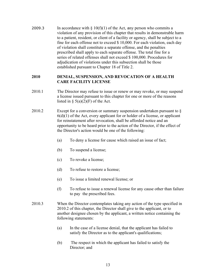2009.3 In accordance with  $\S 10(f)(1)$  of the Act, any person who commits a violation of any provision of this chapter that results in demonstrable harm to a patient, resident, or client of a facility or agency, shall be subject to a fine for each offense not to exceed \$ 10,000. For each violation, each day of violation shall constitute a separate offense, and the penalties prescribed shall apply to each separate offense. The total fine for a series of related offenses shall not exceed \$ 100,000. Procedures for adjudication of violations under this subsection shall be those established pursuant to Chapter 18 of Title 2.

#### **2010 DENIAL, SUSPENSION, AND REVOCATION OF A HEALTH CARE FACILITY LICENSE**

- 2010.1 The Director may refuse to issue or renew or may revoke, or may suspend a license issued pursuant to this chapter for one or more of the reasons listed in  $\S$  5(a)(2)(F) of the Act.
- 2010.2 Except for a conversion or summary suspension undertaken pursuant to §  $6(d)(1)$  of the Act, every applicant for or holder of a license, or applicant for reinstatement after revocation, shall be afforded notice and an opportunity to be heard prior to the action of the Director, if the effect of the Director's action would be one of the following:
	- (a) To deny a license for cause which raised an issue of fact;
	- (b) To suspend a license;
	- (c) To revoke a license;
	- (d) To refuse to restore a license;
	- (e) To issue a limited renewal license; or
	- (f) To refuse to issue a renewal license for any cause other than failure to pay the prescribed fees.
- 2010.3 When the Director contemplates taking any action of the type specified in 2010.2 of this chapter, the Director shall give to the applicant, or to another designee chosen by the applicant, a written notice containing the following statements:
	- (a) In the case of a license denial, that the applicant has failed to satisfy the Director as to the applicant's qualifications;
	- (b) The respect in which the applicant has failed to satisfy the Director; and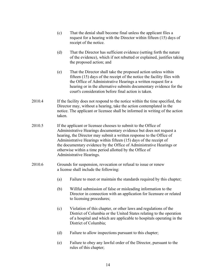- (c) That the denial shall become final unless the applicant files a request for a hearing with the Director within fifteen (15) days of receipt of the notice.
- (d) That the Director has sufficient evidence (setting forth the nature of the evidence), which if not rebutted or explained, justifies taking the proposed action; and
- (e) That the Director shall take the proposed action unless within fifteen (15) days of the receipt of the notice the facility files with the Office of Administrative Hearings a written request for a hearing or in the alternative submits documentary evidence for the court's consideration before final action is taken.
- 2010.4 If the facility does not respond to the notice within the time specified, the Director may, without a hearing, take the action contemplated in the notice. The applicant or licensee shall be informed in writing of the action taken.
- 2010.5 If the applicant or licensee chooses to submit to the Office of Administrative Hearings documentary evidence but does not request a hearing, the Director may submit a written response to the Office of Administrative Hearings within fifteen (15) days of the receipt of the documentary evidence by the Office of Administrative Hearings or otherwise within a time period allotted by the Office of Administrative Hearings.
- 2010.6 Grounds for suspension, revocation or refusal to issue or renew a license shall include the following:
	- (a) Failure to meet or maintain the standards required by this chapter;
	- (b) Willful submission of false or misleading information to the Director in connection with an application for licensure or related to licensing procedures;
	- (c) Violation of this chapter, or other laws and regulations of the District of Columbia or the United States relating to the operation of a hospital and which are applicable to hospitals operating in the District of Columbia;
	- (d) Failure to allow inspections pursuant to this chapter;
	- (e) Failure to obey any lawful order of the Director, pursuant to the rules of this chapter;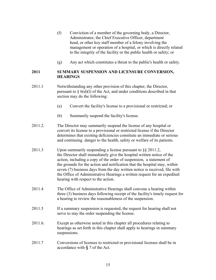- (f) Conviction of a member of the governing body, a Director, Administrator, the Chief Executive Officer, department head, or other key staff member of a felony involving the management or operation of a hospital, or which is directly related to the integrity of the facility or the public health or safety; or
- (g) Any act which constitutes a threat to the public's health or safety.

#### **2011 SUMMARY SUSPENSION AND LICENSURE CONVERSION, HEARINGS**

- 2011.1 Notwithstanding any other provision of this chapter, the Director, pursuant to  $\S$  6(d)(l) of the Act, and under conditions described in that section may do the following:
	- (a) Convert the facility's license to a provisional or restricted; or
	- (b) Summarily suspend the facility's license.
- 2011.2. The Director may summarily suspend the license of any hospital or convert its license to a provisional or restricted license if the Director determines that existing deficiencies constitute an immediate or serious and continuing danger to the health, safety or welfare of its patients.
- 2011.3 Upon summarily suspending a license pursuant to §§ 2011.2, the Director shall immediately give the hospital written notice of the action, including a copy of the order of suspension, a statement of the grounds for the action and notification that the hospital may, within seven (7) business days from the day written notice is received, file with the Office of Administrative Hearings a written request for an expedited hearing with respect to the action.
- 2011.4 The Office of Administrative Hearings shall convene a hearing within three (3) business days following receipt of the facility's timely request for a hearing to review the reasonableness of the suspension.
- 2011.5 If a summary suspension is requested, the request for hearing shall not serve to stay the order suspending the license.
- 2011.6. Except as otherwise noted in this chapter all procedures relating to hearings as set forth in this chapter shall apply to hearings in summary suspensions.
- 2011.7 Conversions of licenses to restricted or provisional licenses shall be in accordance with § 7 of the Act.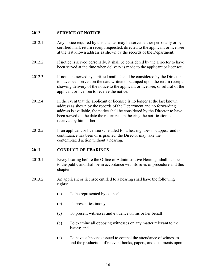# **2012 SERVICE OF NOTICE**

- 2012.1 Any notice required by this chapter may be served either personally or by certified mail, return receipt requested, directed to the applicant or licensee at the last known address as shown by the records of the Department.
- 2012.2 If notice is served personally, it shall be considered by the Director to have been served at the time when delivery is made to the applicant or licensee.
- 2012.3 If notice is served by certified mail, it shall be considered by the Director to have been served on the date written or stamped upon the return receipt showing delivery of the notice to the applicant or licensee, or refusal of the applicant or licensee to receive the notice.
- 2012.4 In the event that the applicant or licensee is no longer at the last known address as shown by the records of the Department and no forwarding address is available, the notice shall be considered by the Director to have been served on the date the return receipt bearing the notification is received by him or her.
- 2012.5 If an applicant or licensee scheduled for a hearing does not appear and no continuance has been or is granted, the Director may take the contemplated action without a hearing.

# **2013 CONDUCT OF HEARINGS**

- 2013.1 Every hearing before the Office of Administrative Hearings shall be open to the public and shall be in accordance with its rules of procedure and this chapter.
- 2013.2 An applicant or licensee entitled to a hearing shall have the following rights:
	- (a) To be represented by counsel;
	- (b) To present testimony;
	- (c) To present witnesses and evidence on his or her behalf:
	- (d) To examine all opposing witnesses on any matter relevant to the issues; and
	- (e) To have subpoenas issued to compel the attendance of witnesses and the production of relevant books, papers, and documents upon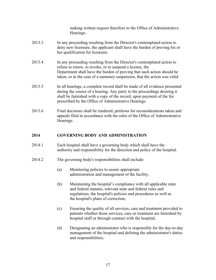making written request therefore to the Office of Administrative Hearings.

- 2013.3 In any proceeding resulting from the Director's contemplated action to deny new licensure, the applicant shall have the burden of proving his or her qualification for licensure.
- 2013.4 In any proceeding resulting from the Director's contemplated action to refuse to renew, to revoke, or to suspend a license, the Department shall have the burden of proving that such action should be taken, or in the case of a summary suspension, that the action was valid.
- 2013.5 In all hearings, a complete record shall be made of all evidence presented during the course of a hearing. Any party to the proceedings desiring it shall be furnished with a copy of the record, upon payment of the fee prescribed by the Office of Administrative Hearings.
- 2013.6 Final decisions shall be rendered, petitions for reconsiderations taken and appeals filed in accordance with the rules of the Office of Administrative Hearings.

# **2014 GOVERNING BODY AND ADMINISTRATION**

- 2014.1 Each hospital shall have a governing body which shall have the authority and responsibility for the direction and policy of the hospital.
- 2014.2 The governing body's responsibilities shall include:
	- (a) Monitoring policies to assure appropriate administration and management of the facility;
	- (b) Maintaining the hospital's compliance with all applicable state and federal statutes, relevant state and federal rules and regulations, the hospital's policies and procedures as well as the hospital's plans of correction;
	- (c) Ensuring the quality of all services, care and treatment provided to patients whether those services, care or treatment are furnished by hospital staff or through contract with the hospital;
	- (d) Designating an administrator who is responsible for the day-to-day management of the hospital and defining the administrator's duties and responsibilities;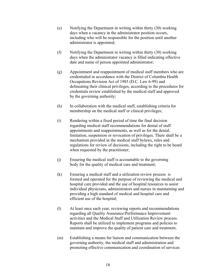- (e) Notifying the Department in writing within thirty (30) working days when a vacancy in the administrator position occurs, including who will be responsible for the position until another administrator is appointed;
- (f) Notifying the Department in writing within thirty (30) working days when the administrator vacancy is filled indicating effective date and name of person appointed administrator;
- (g) Appointment and reappointment of medical staff members who are credentialed in accordance with the District of Columbia Health Occupations Revision Act of 1985 (D.C. Law 6-99) and delineating their clinical privileges, according to the procedures for credentials review established by the medical staff and approved by the governing authority;
- (h) In collaboration with the medical staff, establishing criteria for membership on the medical staff or clinical privileges;
- (i) Rendering within a fixed period of time the final decision regarding medical staff recommendations for denial of staff appointments and reappointments, as well as for the denial, limitation, suspension or revocation of privileges. There shall be a mechanism provided in the medical staff bylaws, rules and regulations for review of decisions, including the right to be heard when requested by the practitioner;
- (j) Ensuring the medical staff is accountable to the governing body for the quality of medical care and treatment;
- (k) Ensuring a medical staff and a utilization review process is formed and operated for the purpose of reviewing the medical and hospital care provided and the use of hospital resources to assist individual physicians, administrators and nurses in maintaining and providing a high standard of medical and hospital care and efficient use of the hospital;
- (l) At least once each year, reviewing reports and recommendations regarding all Quality Assurance/Performance Improvement activities and the Medical Staff and Utilization Review process. Reports shall be utilized to implement programs and policies to maintain and improve the quality of patient care and treatment;
- (m) Establishing a means for liaison and communication between the governing authority, the medical staff and administration and promoting effective communication and coordination of services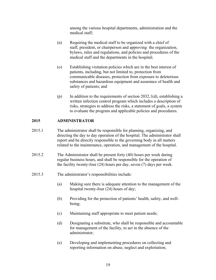among the various hospital departments, administration and the medical staff;

- (n) Requiring the medical staff to be organized with a chief of staff, president, or chairperson and approving the organization, bylaws, rules and regulations, and policies and procedures of the medical staff and the departments in the hospital;
- (o) Establishing visitation policies which are in the best interest of patients, including, but not limited to, protection from communicable diseases, protection from exposure to deleterious substances and hazardous equipment and assurance of health and safety of patients; and
- (p) In addition to the requirements of section  $2032.1(d)$ , establishing a written infection control program which includes a description of risks, strategies to address the risks, a statement of goals, a system to evaluate the program and applicable policies and procedures.

# **2015 ADMINISTRATOR**

- 2015.1 The administrator shall be responsible for planning, organizing, and directing the day to day operation of the hospital. The administrator shall report and be directly responsible to the governing body in all matters related to the maintenance, operation, and management of the hospital.
- 2015.2 The Administrator shall be present forty (40) hours per week during regular business hours, and shall be responsible for the operation of the facility twenty-four (24) hours per day, seven (7) days per week.
- 2015.3 The administrator's responsibilities include:
	- (a) Making sure there is adequate attention to the management of the hospital twenty-four (24) hours of day;
	- (b) Providing for the protection of patients' health, safety, and well being;
	- (c) Maintaining staff appropriate to meet patient needs;
	- (d) Designating a substitute, who shall be responsible and accountable for management of the facility, to act in the absence of the administrator;
	- (e) Developing and implementing procedures on collecting and reporting information on abuse, neglect and exploitation;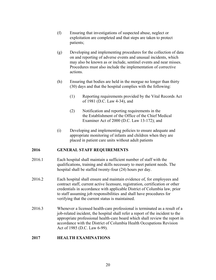- (f) Ensuring that investigations of suspected abuse, neglect or exploitation are completed and that steps are taken to protect patients;
- (g) Developing and implementing procedures for the collection of data on and reporting of adverse events and unusual incidents, which may also be known as or include, sentinel events and near misses. Procedures must also include the implementation of corrective actions.
- (h) Ensuring that bodies are held in the morgue no longer than thirty (30) days and that the hospital complies with the following:
	- (1) Reporting requirements provided by the Vital Records Act of 1981 (D.C. Law 4-34), and
	- (2) Notification and reporting requirements in the the Establishment of the Office of the Chief Medical Examiner Act of 2000 (D.C. Law 13-172); and
- (i) Developing and implementing policies to ensure adequate and appropriate monitoring of infants and children when they are placed in patient care units without adult patients

# **2016 GENERAL STAFF REQUIREMENTS**

- 2016.1Each hospital shall maintain a sufficient number of staff with the qualifications, training and skills necessary to meet patient needs. The hospital shall be staffed twenty-four (24) hours per day.
- 2016.2 Each hospital shall ensure and maintain evidence of, for employees and contract staff, current active licensure, registration, certification or other credentials in accordance with applicable District of Columbia law, prior to staff assuming job responsibilities and shall have procedures for verifying that the current status is maintained.
- 2016.3 Whenever a licensed health-care professional is terminated as a result of a job-related incident, the hospital shall refer a report of the incident to the appropriate professional health-care board which shall review the report in accordance with the District of Columbia Health Occupations Revision Act of 1985 (D.C. Law 6-99).

#### **2017 HEALTH EXAMINATIONS**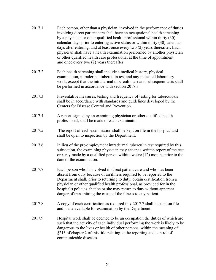2017.1 Each person, other than a physician, involved in the performance of duties involving direct patient care shall have an occupational health screening by a physician or other qualified health professional within thirty (30) calendar days prior to entering active status or within thirty (30) calendar days after entering, and at least once every two (2) years thereafter. Each physician shall have a health examination performed by another physician or other qualified health care professional at the time of appointment and once every two (2) years thereafter. 2017.2 Each health screening shall include a medical history, physical examination, intradermal tuberculin test and any indicated laboratory work, except that the intradermal tuberculin test and subsequent tests shall be performed in accordance with section 2017.3. 2017.3 Preventative measures, testing and frequency of testing for tuberculosis shall be in accordance with standards and guidelines developed by the Centers for Disease Control and Prevention. 2017.4 A report, signed by an examining physician or other qualified health professional, shall be made of each examination. 2017.5 The report of each examination shall be kept on file in the hospital and shall be open to inspection by the Department. 2017.6 In lieu of the pre-employment intradermal tuberculin test required by this subsection, the examining physician may accept a written report of the test or x-ray made by a qualified person within twelve (12) months prior to the date of the examination. 2017.7 Each person who is involved in direct patient care and who has been absent from duty because of an illness required to be reported to the Department shall, prior to returning to duty, obtain certification from a physician or other qualified health professional, as provided for in the hospital's policies, that he or she may return to duty without apparent danger of transmitting the cause of the illness to any patient. 2017.8 A copy of each certification as required in § 2017.7 shall be kept on file and made available for examination by the Department. 2017.9 Hospital work shall be deemed to be an occupation the duties of which are such that the activity of each individual performing the work is likely to be dangerous to the lives or health of other persons, within the meaning of §213 of chapter 2 of this title relating to the reporting and control of

communicable diseases.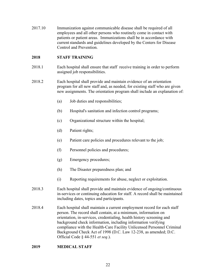2017.10 Immunization against communicable disease shall be required of all employees and all other persons who routinely come in contact with patients or patient areas. Immunizations shall be in accordance with current standards and guidelines developed by the Centers for Disease Control and Prevention.

#### **2018 STAFF TRAINING**

- 2018.1 Each hospital shall ensure that staff receive training in order to perform assigned job responsibilities.
- 2018.2 Each hospital shall provide and maintain evidence of an orientation program for all new staff and, as needed, for existing staff who are given new assignments. The orientation program shall include an explanation of:
	- (a) Job duties and responsibilities;
	- (b) Hospital's sanitation and infection control programs;
	- (c) Organizational structure within the hospital;
	- (d) Patient rights;
	- (e) Patient care policies and procedures relevant to the job;
	- (f) Personnel policies and procedures;
	- (g) Emergency procedures;
	- (h) The Disaster preparedness plan; and
	- (i) Reporting requirements for abuse, neglect or exploitation.
- 2018.3 Each hospital shall provide and maintain evidence of ongoing/continuous in-services or continuing education for staff. A record shall be maintained including dates, topics and participants.
- 2018.4 Each hospital shall maintain a current employment record for each staff person. The record shall contain, at a minimum, information on orientation, in-services, credentialing, health history screening and background check information, including information verifying compliance with the Health-Care Facility Unlicensed Personnel Criminal Background Check Act of 1998 (D.C. Law 12-238, as amended; D.C. Official Code § 44-551 *et seq*.).

#### **2019 MEDICAL STAFF**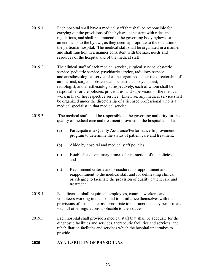- 2019.1*.* Each hospital shall have a medical staff that shall be responsible for carrying out the provisions of the bylaws, consistent with rules and regulations, and shall recommend to the governing body bylaws, or amendments to the bylaws, as they deem appropriate to the operation of the particular hospital. The medical staff shall be organized in a manner and shall function in a manner consistent with the size, needs and resources of the hospital and of the medical staff.
- 2019.2 The clinical staff of each medical service, surgical service, obstetric service, pediatric service, psychiatric service, radiology service, and anesthesiological service shall be organized under the directorship of an internist, surgeon, obstetrician, pediatrician, psychiatrist, radiologist, and anesthesiologist respectively, each of whom shall be responsible for the policies, procedures, and supervision of the medical work in his or her respective service. Likewise, any medical service shall be organized under the directorship of a licensed professional who is a medical specialist in that medical service.
- 2019.3 The medical staff shall be responsible to the governing authority for the quality of medical care and treatment provided in the hospital and shall:
	- (a) Participate in a Quality Assurance/Performance Improvement program to determine the status of patient care and treatment;
	- (b) Abide by hospital and medical staff policies;
	- (c) Establish a disciplinary process for infraction of the policies; and
	- (d) Recommend criteria and procedures for appointment and reappointment to the medical staff and for delineating clinical privileging to facilitate the provision of quality patient care and treatment.
- 2019.4 Each licensee shall require all employees, contract workers, and volunteers working in the hospital to familiarize themselves with the provisions of this chapter as appropriate to the functions they perform and with all other regulations applicable to their duties.
- 2019.5 Each hospital shall provide a medical staff that shall be adequate for the diagnostic facilities and services, therapeutic facilities and services, and rehabilitation facilities and services which the hospital undertakes to provide.

# **2020 AVAILABILITY OF PHYSICIANS**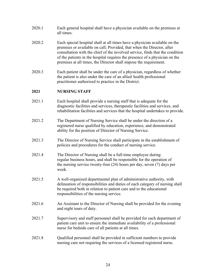- 2020.1 Each general hospital shall have a physician available on the premises at all times.
- 2020.2 Each special hospital shall at all times have a physician available on the premises or available on call; Provided, that when the Director, after consultation with the chief of the involved service, finds that the condition of the patients in the hospital requires the presence of a physician on the premises at all times, the Director shall impose the requirement.
- 2020.3 Each patient shall be under the care of a physician, regardless of whether the patient is also under the care of an allied health professional practitioner authorized to practice in the District.

# **2021 NURSING STAFF**

- 2021.1 Each hospital shall provide a nursing staff that is adequate for the diagnostic facilities and services, therapeutic facilities and services, and rehabilitation facilities and services that the hospital undertakes to provide.
- 2021.2 The Department of Nursing Service shall be under the direction of a registered nurse qualified by education, experience, and demonstrated ability for the position of Director of Nursing Service.
- 2021.3 The Director of Nursing Service shall participate in the establishment of policies and procedures for the conduct of nursing service.
- 2021.4 The Director of Nursing shall be a full-time employee during regular business hours, and shall be responsible for the operation of the nursing service twenty-four (24) hours per day, seven (7) days per week.
- 2021.5 A well-organized departmental plan of administrative authority, with delineation of responsibilities and duties of each category of nursing shall be required both in relation to patient care and to the educational responsibilities of the nursing service.
- 2021.6 An Assistant to the Director of Nursing shall be provided for the evening and night tours of duty.
- 2021.7 Supervisory and staff personnel shall be provided for each department of patient care unit to ensure the immediate availability of a professional nurse for bedside care of all patients at all times.
- 2021.8 Qualified personnel shall be provided in sufficient numbers to provide nursing care not requiring the services of a licensed registered nurse.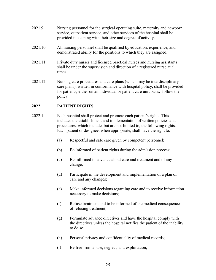- 2021.9 Nursing personnel for the surgical operating suite, maternity and newborn service, outpatient service, and other services of the hospital shall be provided in keeping with their size and degree of activity.
- 2021.10 All nursing personnel shall be qualified by education, experience, and demonstrated ability for the positions to which they are assigned.
- 2021.11 Private duty nurses and licensed practical nurses and nursing assistants shall be under the supervision and direction of a registered nurse at all times.
- 2021.12 Nursing care procedures and care plans (which may be interdisciplinary care plans), written in conformance with hospital policy, shall be provided for patients, either on an individual or patient care unit basis. follow the policy

# **2022 PATIENT RIGHTS**

- 2022.1 Each hospital shall protect and promote each patient's rights. This includes the establishment and implementation of written policies and procedures, which include, but are not limited to, the following rights. Each patient or designee, when appropriate, shall have the right to:
	- (a) Respectful and safe care given by competent personnel;
	- (b) Be informed of patient rights during the admission process;
	- (c) Be informed in advance about care and treatment and of any change;
	- (d) Participate in the development and implementation of a plan of care and any changes;
	- (e) Make informed decisions regarding care and to receive information necessary to make decisions;
	- (f) Refuse treatment and to be informed of the medical consequences of refusing treatment;
	- (g) Formulate advance directives and have the hospital comply with the directives unless the hospital notifies the patient of the inability to do so;
	- (h) Personal privacy and confidentiality of medical records;
	- (i) Be free from abuse, neglect, and exploitation;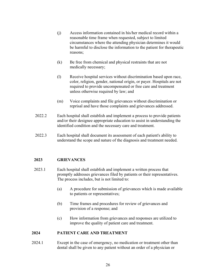- (j) Access information contained in his/her medical record within a reasonable time frame when requested, subject to limited circumstances where the attending physician determines it would be harmful to disclose the information to the patient for therapeutic reasons;
- (k) Be free from chemical and physical restraints that are not medically necessary;
- (l) Receive hospital services without discrimination based upon race, color, religion, gender, national origin, or payer. Hospitals are not required to provide uncompensated or free care and treatment unless otherwise required by law; and
- (m) Voice complaints and file grievances without discrimination or reprisal and have those complaints and grievances addressed.
- 2022.2 Each hospital shall establish and implement a process to provide patients and/or their designee appropriate education to assist in understanding the identified condition and the necessary care and treatment.
- 2022.3 Each hospital shall document its assessment of each patient's ability to understand the scope and nature of the diagnosis and treatment needed.

# **2023 GRIEVANCES**

- 2023.1 Each hospital shall establish and implement a written process that promptly addresses grievances filed by patients or their representatives. The process includes, but is not limited to:
	- (a) A procedure for submission of grievances which is made available to patients or representatives;
	- (b) Time frames and procedures for review of grievances and provision of a response; and
	- (c) How information from grievances and responses are utilized to improve the quality of patient care and treatment.

# **2024 PATIENT CARE AND TREATMENT**

2024.1 Except in the case of emergency, no medication or treatment other than dental shall be given to any patient without an order of a physician or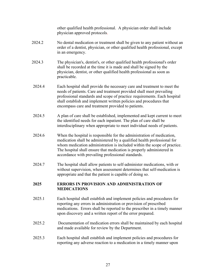other qualified health professional. A physician order shall include physician approved protocols.

- 2024.2 No dental medication or treatment shall be given to any patient without an order of a dentist, physician, or other qualified health professional, except in an emergency.
- 2024.3 The physician's, dentist's, or other qualified health professional's order shall be recorded at the time it is made and shall be signed by the physician, dentist, or other qualified health professional as soon as practicable.
- 2024.4 Each hospital shall provide the necessary care and treatment to meet the needs of patients. Care and treatment provided shall meet prevailing professional standards and scope of practice requirements. Each hospital shall establish and implement written policies and procedures that encompass care and treatment provided to patients.
- 2024.5 A plan of care shall be established, implemented and kept current to meet the identified needs for each inpatient. The plan of care shall be interdisciplinary when appropriate to meet individual needs of patients.
- 2024.6 When the hospital is responsible for the administration of medication, medication shall be administered by a qualified health professional for whom medication administration is included within the scope of practice. The hospital shall ensure that medication is properly administered in accordance with prevailing professional standards.
- 2024.7 The hospital shall allow patients to self-administer medications, with or without supervision, when assessment determines that self-medication is appropriate and that the patient is capable of doing so.

# **2025 ERRORS IN PROVISION AND ADMINISTRATION OF MEDICATIONS**

- 2025.1 Each hospital shall establish and implement policies and procedures for reporting any errors in administration or provision of prescribed medications. Errors shall be reported to the prescriber in a timely manner upon discovery and a written report of the error prepared.
- 2025.2 Documentation of medication errors shall be maintained by each hospital and made available for review by the Department.
- 2025.3 Each hospital shall establish and implement policies and procedures for reporting any adverse reaction to a medication in a timely manner upon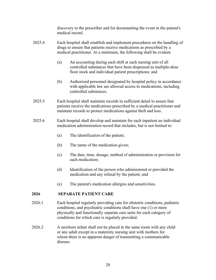discovery to the prescriber and for documenting the event in the patient's medical record.

- 2025.4 Each hospital shall establish and implement procedures on the handling of drugs to ensure that patients receive medications as prescribed by a medical practitioner. At a minimum, the following shall be evident:
	- (a) An accounting during each shift at each nursing unit of all controlled substances that have been dispensed as multiple-dose floor stock and individual patient prescriptions; and
	- (b) Authorized personnel designated by hospital policy in accordance with applicable law are allowed access to medications, including controlled substances.
- 2025.5 Each hospital shall maintain records in sufficient detail to assure that patients receive the medications prescribed by a medical practitioner and maintain records to protect medications against theft and loss.
- 2025.6 Each hospital shall develop and maintain for each inpatient an individual medication administration record that includes, but is not limited to:
	- (a) The identification of the patient;
	- (b) The name of the medication given;
	- (c) The date, time, dosage, method of administration or provision for each medication;
	- (d) Identification of the person who administered or provided the medication and any refusal by the patient; and
	- (e) The patient's medication allergies and sensitivities.

# **2026 SEPARATE PATIENT CARE**

- 2026.1 Each hospital regularly providing care for obstetric conditions, pediatric conditions, and psychiatric conditions shall have one (1) or morephysically and functionally separate care units for each category of conditions for which care is regularly provided.
- 2026.2A newborn infant shall not be placed in the same room with any child or any adult except in a maternity nursing unit with mothers for whom there is no apparent danger of transmitting a communicable disease.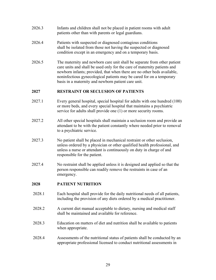- 2026.3 Infants and children shall not be placed in patient rooms with adult patients other than with parents or legal guardians.
- 2026.4 Patients with suspected or diagnosed contagious conditions shall be isolated from those not having the suspected or diagnosed condition except in an emergency and on a temporary basis.
- 2026.5 The maternity and newborn care unit shall be separate from other patient care units and shall be used only for the care of maternity patients and newborn infants; provided, that when there are no other beds available, noninfectious gynecological patients may be cared for on a temporary basis in a maternity and newborn patient care unit.

# **2027 RESTRAINT OR SECLUSION OF PATIENTS**

- 2027.1 Every general hospital, special hospital for adults with one hundred (100) or more beds, and every special hospital that maintains a psychiatric service for adults shall provide one (1) or more security rooms.
- 2027.2 All other special hospitals shall maintain a seclusion room and provide an attendant to be with the patient constantly where needed prior to removal to a psychiatric service.
- 2027.3 No patient shall be placed in mechanical restraint or other seclusion, unless ordered by a physician or other qualified health professional, and unless a nurse or attendant is continuously on duty in charge of and responsible for the patient.
- 2027.4 No restraint shall be applied unless it is designed and applied so that the person responsible can readily remove the restraints in case of an emergency.

# **2028 PATIENT NUTRITION**

- 2028.1 Each hospital shall provide for the daily nutritional needs of all patients, including the provision of any diets ordered by a medical practitioner.
- 2028.2 A current diet manual acceptable to dietary, nursing and medical staff shall be maintained and available for reference.
- 2028.3 Education on matters of diet and nutrition shall be available to patients when appropriate.
- 2028.4 Assessments of the nutritional status of patients shall be conducted by an appropriate professional licensed to conduct nutritional assessments in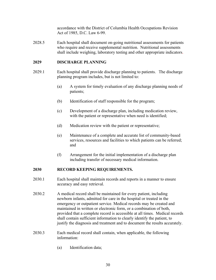accordance with the District of Columbia Health Occupations Revision Act of 1985, D.C. Law 6-99.

2028.5 Each hospital shall document on-going nutritional assessments for patients who require and receive supplemental nutrition. Nutritional assessments shall include weighing, laboratory testing and other appropriate indicators.

#### **2029 DISCHARGE PLANNING**

- 2029.1 Each hospital shall provide discharge planning to patients. The discharge planning program includes, but is not limited to:
	- (a) A system for timely evaluation of any discharge planning needs of patients;
	- (b) Identification of staff responsible for the program;
	- (c) Development of a discharge plan, including medication review, with the patient or representative when need is identified;
	- (d) Medication review with the patient or representative;
	- (e) Maintenance of a complete and accurate list of community-based services, resources and facilities to which patients can be referred; and
	- (f) Arrangement for the initial implementation of a discharge plan including transfer of necessary medical information.

#### **2030 RECORD KEEPING REQUIREMENTS.**

- 2030.1 Each hospital shall maintain records and reports in a manner to ensure accuracy and easy retrieval.
- 2030.2 A medical record shall be maintained for every patient, including newborn infants, admitted for care in the hospital or treated in the emergency or outpatient service. Medical records may be created and maintained in written or electronic form, or a combination of both, provided that a complete record is accessible at all times. Medical records shall contain sufficient information to clearly identify the patient, to justify the diagnosis and treatment and to document the results accurately.
- 2030.3 Each medical record shall contain, when applicable, the following information:
	- (a) Identification data;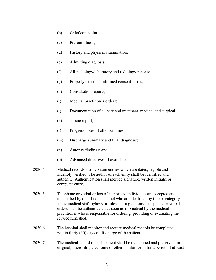- (b) Chief complaint;
- (c) Present illness;
- (d) History and physical examination;
- (e) Admitting diagnosis;
- (f) All pathology/laboratory and radiology reports;
- (g) Properly executed informed consent forms;
- (h) Consultation reports;
- (i) Medical practitioner orders;
- (j) Documentation of all care and treatment, medical and surgical;
- (k) Tissue report;
- (l) Progress notes of all disciplines;
- (m) Discharge summary and final diagnosis;
- (n) Autopsy findings; and
- (o) Advanced directives, if available.
- 2030.4 Medical records shall contain entries which are dated, legible and indelibly verified. The author of each entry shall be identified and authentic. Authentication shall include signature, written initials, or computer entry.
- 2030.5 Telephone or verbal orders of authorized individuals are accepted and transcribed by qualified personnel who are identified by title or category in the medical staff bylaws or rules and regulations. Telephone or verbal orders shall be authenticated as soon as is practical by the medical practitioner who is responsible for ordering, providing or evaluating the service furnished.
- 2030.6 The hospital shall monitor and require medical records be completed within thirty (30) days of discharge of the patient.
- 2030.7 The medical record of each patient shall be maintained and preserved, in original, microfilm, electronic or other similar form, for a period of at least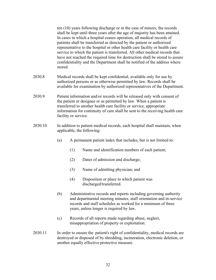ten (10) years following discharge or in the case of minors, the records shall be kept until three years after the age of majority has been attained. In cases in which a hospital ceases operation, all medical records of patients shall be transferred as directed by the patient or authorized representative to the hospital or other health care facility or health care service to which the patient is transferred. All other medical records that have not reached the required time for destruction shall be stored to assure confidentiality and the Department shall be notified of the address where stored.

- 2030.8 Medical records shall be kept confidential, available only for use by authorized persons or as otherwise permitted by law. Records shall be available for examination by authorized representatives of the Department.
- 2030.9 Patient information and/or records will be released only with consent of the patient or designee or as permitted by law. When a patient is transferred to another health care facility or service, appropriate information for continuity of care shall be sent to the receiving health care facility or service.
- 2030.10 In addition to patient medical records, each hospital shall maintain, when applicable, the following:
	- (a) A permanent patient index that includes, but is not limited to:
		- (1) Name and identification numbers of each patient;
		- (2) Dates of admission and discharge;
		- (3) Name of admitting physician; and
		- (4) Disposition or place to which patient was discharged/transferred.
	- (b) Administrative records and reports including governing authority and departmental meeting minutes, staff orientation and in-service records and staff schedules as worked for a minimum of three years, unless longer is required by law.
	- (c) Records of all reports made regarding abuse, neglect, misappropriation of property or exploitation.
- 2030.11 In order to ensure the patient's right of confidentiality, medical records are destroyed or disposed of by shredding, incineration, electronic deletion, or another equally effective protective measure.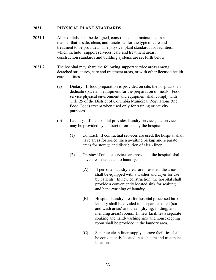#### **2031 PHYSICAL PLANT STANDARDS**

- 2031.1 All hospitals shall be designed, constructed and maintained in a manner that is safe, clean, and functional for the type of care and treatment to be provided. The physical plant standards for facilities, which include support services, care and treatment areas, construction standards and building systems are set forth below.
- 2031.2 The hospital may share the following support service areas among detached structures, care and treatment areas, or with other licensed health care facilities.
	- (a) Dietary: If food preparation is provided on site, the hospital shall dedicate space and equipment for the preparation of meals. Food service physical environment and equipment shall comply with Title 25 of the District of Columbia Municipal Regulations (the Food Code) except when used only for training or activity purposes.
	- (b) Laundry: If the hospital provides laundry services, the services may be provided by contract or on-site by the hospital.
		- (1) Contract: If contractual services are used, the hospital shall have areas for soiled linen awaiting pickup and separate areas for storage and distribution of clean linen.
		- (2) On-site: If on-site services are provided, the hospital shall have areas dedicated to laundry.
			- (A) If personal laundry areas are provided, the areas shall be equipped with a washer and dryer for use by patients. In new construction, the hospital shall provide a conveniently located sink for soaking and hand-washing of laundry.
			- (B) Hospital laundry area for hospital processed bulk laundry shall be divided into separate soiled (sort and wash areas) and clean (drying, folding, and mending areas) rooms. In new facilities a separate soaking and hand-washing sink and housekeeping room shall be provided in the laundry area.
			- (C) Separate clean linen supply storage facilities shall be conveniently located in each care and treatment location.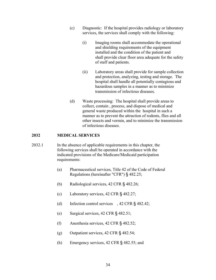- (c) Diagnostic: If the hospital provides radiology or laboratory services, the services shall comply with the following:
	- (i) Imaging rooms shall accommodate the operational and shielding requirements of the equipment installed and the condition of the patient and shall provide clear floor area adequate for the safety of staff and patients.
	- (ii) Laboratory areas shall provide for sample collection and protection, analyzing, testing and storage. The hospital shall handle all potentially contagious and hazardous samples in a manner as to minimize transmission of infectious diseases.
- (d) Waste processing: The hospital shall provide areas to collect, contain , process, and dispose of medical and general waste produced within the hospital in such a manner as to prevent the attraction of rodents, flies and all other insects and vermin, and to minimize the transmission of infectious diseases.

#### **2032 MEDICAL SERVICES**

- 2032.1 In the absence of applicable requirements in this chapter, the following services shall be operated in accordance with the indicated provisions of the Medicare/Medicaid participation requirements:
	- (a) Pharmaceutical services, Title 42 of the Code of Federal Regulations (hereinafter "CFR") § 482.25;
	- (b) Radiological services, 42 CFR § 482.26;
	- (c) Laboratory services, 42 CFR § 482.27;
	- (d) Infection control services , 42 CFR § 482.42;
	- (e) Surgical services, 42 CFR § 482.51;
	- (f) Anesthesia services, 42 CFR § 482.52;
	- (g) Outpatient services, 42 CFR § 482.54;
	- (h) Emergency services, 42 CFR § 482.55; and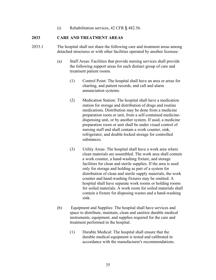(i) Rehabilitation services, 42 CFR § 482.56.

#### **2033 CARE AND TREATMENT AREAS**

- 2033.1 The hospital shall not share the following care and treatment areas among detached structures or with other facilities operated by another licensee:
	- (a) Staff Areas: Facilities that provide nursing services shall provide the following support areas for each distinct group of care and treatment patient rooms.
		- (1) Control Point: The hospital shall have an area or areas for charting, and patient records, and call and alarm annunciation systems.
		- (2) Medication Station: The hospital shall have a medication station for storage and distribution of drugs and routine medications. Distribution may be done from a medicine preparation room or unit, from a self-contained medicine dispensing unit, or by another system. If used, a medicine preparation room or unit shall be under visual control of nursing staff and shall contain a work counter, sink, refrigerator, and double-locked storage for controlled substances.
		- (3) Utility Areas: The hospital shall have a work area where clean materials are assembled. The work area shall contain a work counter, a hand-washing fixture, and storage facilities for clean and sterile supplies. If the area is used only for storage and holding as part of a system for distribution of clean and sterile supply materials, the work counter and hand-washing fixtures may be omitted. A hospital shall have separate work rooms or holding rooms for soiled materials. A work room for soiled materials shall contain a fixture for disposing wastes and a hand-washing sink.
	- (b) Equipment and Supplies: The hospital shall have services and space to distribute, maintain, clean and sanitize durable medical instruments, equipment, and supplies required for the care and treatment performed in the hospital.
		- (1) Durable Medical: The hospital shall ensure that the durable medical equipment is tested and calibrated in accordance with the manufacturer's recommendations.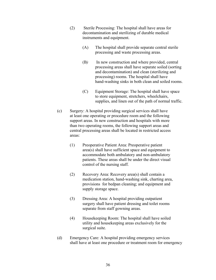- (2) Sterile Processing: The hospital shall have areas for decontamination and sterilizing of durable medical instruments and equipment.
	- (A) The hospital shall provide separate central sterile processing and waste processing areas.
	- (B) In new construction and where provided, central processing areas shall have separate soiled (sorting and decontamination) and clean (sterilizing and processing) rooms. The hospital shall have hand-washing sinks in both clean and soiled rooms.
	- (C) Equipment Storage: The hospital shall have space to store equipment, stretchers, wheelchairs, supplies, and linen out of the path of normal traffic.
- (c) Surgery: A hospital providing surgical services shall have at least one operating or procedure room and the following support areas. In new construction and hospitals with more than two operating rooms, the following support areas and central processing areas shall be located in restricted access areas:
	- (1) Preoperative Patient Area: Preoperative patient area(s) shall have sufficient space and equipment to accommodate both ambulatory and non-ambulatory patients. These areas shall be under the direct visual control of the nursing staff.
	- (2) Recovery Area: Recovery area(s) shall contain a medication station, hand-washing sink, charting area, provisions for bedpan cleaning; and equipment and supply storage space.
	- (3) Dressing Area: A hospital providing outpatient surgery shall have patient dressing and toilet rooms separate from staff gowning areas.
	- (4) Housekeeping Room: The hospital shall have soiled utility and housekeeping areas exclusively for the surgical suite.
- (d) Emergency Care: A hospital providing emergency services shall have at least one procedure or treatment room for emergency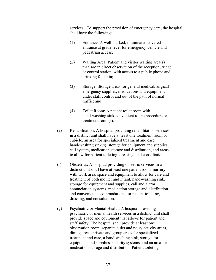services. To support the provision of emergency care, the hospital shall have the following:

- (1) Entrance: A well marked, illuminated covered entrance at grade level for emergency vehicle and pedestrian access;
- (2) Waiting Area: Patient and visitor waiting area(s) that are in direct observation of the reception, triage, or control station, with access to a public phone and drinking fountain;
- (3) Storage: Storage areas for general medical/surgical emergency supplies, medications and equipment under staff control and out of the path of normal traffic; and
- (4) Toilet Room: A patient toilet room with hand-washing sink convenient to the procedure or treatment room(s).
- (e) Rehabilitation: A hospital providing rehabilitation services in a distinct unit shall have at least one treatment room or cubicle, an area for specialized treatment and care, hand-washing sink(s), storage for equipment and supplies, call system, medication storage and distribution, and areas to allow for patient toileting, dressing, and consultation.
- (f) Obstetrics: A hospital providing obstetric services in a distinct unit shall have at least one patient room, nursery with work area, space and equipment to allow for care and treatment of both mother and infant, hand-washing sink, storage for equipment and supplies, call and alarm annunciation systems, medication storage and distribution, and convenient accommodations for patient toileting, dressing, and consultation.
- (g) Psychiatric or Mental Health: A hospital providing psychiatric or mental health services in a distinct unit shall provide space and equipment that allows for patient and staff safety. The hospital shall provide at least one observation room, separate quiet and noisy activity areas, dining areas, private and group areas for specialized treatment and care, a hand-washing sink, storage for equipment and supplies, security systems, and an area for medication storage and distribution. Patient toileting,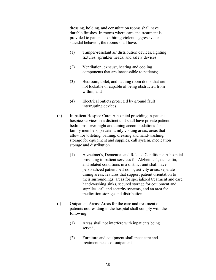dressing, holding, and consultation rooms shall have durable finishes. In rooms where care and treatment is provided to patients exhibiting violent, aggressive or suicidal behavior, the rooms shall have:

- (1) Tamper-resistant air distribution devices, lighting fixtures, sprinkler heads, and safety devices;
- (2) Ventilation, exhaust, heating and cooling components that are inaccessible to patients;
- (3) Bedroom, toilet, and bathing room doors that are not lockable or capable of being obstructed from within; and
- (4) Electrical outlets protected by ground fault interrupting devices.
- (h) In-patient Hospice Care: A hospital providing in-patient hospice services in a distinct unit shall have private patient bedrooms, over-night and dining accommodations for family members, private family visiting areas, areas that allow for toileting, bathing, dressing and hand-washing, storage for equipment and supplies, call system, medication storage and distribution.
	- (1) Alzheimer's, Dementia, and Related Conditions: A hospital providing in-patient services for Alzheimer's, dementia, and related conditions in a distinct unit shall have personalized patient bedrooms, activity areas, separate dining areas, features that support patient orientation to their surroundings, areas for specialized treatment and care, hand-washing sinks, secured storage for equipment and supplies, call and security systems, and an area for medication storage and distribution.
- (i) Outpatient Areas: Areas for the care and treatment of patients not residing in the hospital shall comply with the following:
	- (1) Areas shall not interfere with inpatients being served;
	- (2) Furniture and equipment shall meet care and treatment needs of outpatients;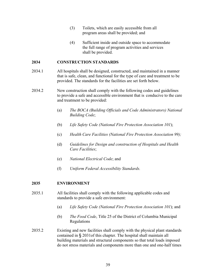- (3) Toilets, which are easily accessible from all program areas shall be provided; and
- (4) Sufficient inside and outside space to accommodate the full range of program activities and services shall be provided.

#### **2034 CONSTRUCTION STANDARDS**

- 2034.1 All hospitals shall be designed, constructed, and maintained in a manner that is safe, clean, and functional for the type of care and treatment to be provided. The standards for the facilities are set forth below.
- 2034.2 New construction shall comply with the following codes and guidelines to provide a safe and accessible environment that is conducive to the care and treatment to be provided:
	- (a) *The BOCA (Building Officials and Code Administrators) National Building Code*;
	- (b) *Life Safety Code (National Fire Protection Association 101*);
	- (c) *Health Care Facilities (National Fire Protection Association 99);*
	- (d) *Guidelines for Design and construction of Hospitals and Health Care Facilities*;
	- (e) *National Electrical Code*; and
	- (f) *Uniform Federal Accessibility Standards.*

#### **2035 ENVIRONMENT**

- 2035.1 All facilities shall comply with the following applicable codes and standards to provide a safe environment:
	- (a) *Life Safety Code (National Fire Protection Association 101*); and
	- (b) *The Food Code*, Title 25 of the District of Columbia Municipal Regulations
- 2035.2 Existing and new facilities shall comply with the physical plant standards contained in § 2031of this chapter. The hospital shall maintain all building materials and structural components so that total loads imposed do not stress materials and components more than one and one-half times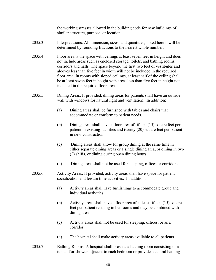the working stresses allowed in the building code for new buildings of similar structure, purpose, or location.

- 2035.3 Interpretations: All dimension, sizes, and quantities; noted herein will be determined by rounding fractions to the nearest whole number.
- 2035.4 Floor area is the space with ceilings at least seven feet in height and does not include areas such as enclosed storage, toilets, and bathing rooms, corridors and halls. The space beyond the first two feet of vestibules and alcoves less than five feet in width will not be included in the required floor area. In rooms with sloped ceilings, at least half of the ceiling shall be at least seven feet in height with areas less than five feet in height not included in the required floor area.
- 2035.5 Dining Areas: If provided, dining areas for patients shall have an outside wall with windows for natural light and ventilation. In addition:
	- (a) Dining areas shall be furnished with tables and chairs that accommodate or conform to patient needs.
	- (b) Dining areas shall have a floor area of fifteen (15) square feet per patient in existing facilities and twenty (20) square feet per patient in new construction.
	- (c) Dining areas shall allow for group dining at the same time in either separate dining areas or a single dining area, or dining in two (2) shifts, or dining during open dining hours.
	- (d) Dining areas shall not be used for sleeping, offices or corridors.
- 2035.6 Activity Areas: If provided, activity areas shall have space for patient socialization and leisure time activities. In addition:
	- (a) Activity areas shall have furnishings to accommodate group and individual activities.
	- (b) Activity areas shall have a floor area of at least fifteen (15) square feet per patient residing in bedrooms and may be combined with dining areas.
	- (c) Activity areas shall not be used for sleeping, offices, or as a corridor.
	- (d) The hospital shall make activity areas available to all patients.
- 2035.7 Bathing Rooms: A hospital shall provide a bathing room consisting of a tub and/or shower adjacent to each bedroom or provide a central bathing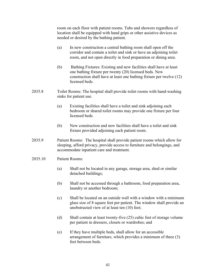room on each floor with patient rooms. Tubs and showers regardless of location shall be equipped with hand grips or other assistive devices as needed or desired by the bathing patient.

- (a) In new construction a central bathing room shall open off the corridor and contain a toilet and sink or have an adjoining toilet room, and not open directly in food preparation or dining area.
- (b) Bathing Fixtures: Existing and new facilities shall have at least one bathing fixture per twenty (20) licensed beds. New construction shall have at least one bathing fixture per twelve (12) licensed beds.
- 2035.8 Toilet Rooms: The hospital shall provide toilet rooms with hand-washing sinks for patient use.
	- (a) Existing facilities shall have a toilet and sink adjoining each bedroom or shared toilet rooms may provide one fixture per four licensed beds.
	- (b) New construction and new facilities shall have a toilet and sink fixture provided adjoining each patient room.
- 2035.9 Patient Rooms: The hospital shall provide patient rooms which allow for sleeping, afford privacy, provide access to furniture and belongings, and accommodate inpatient care and treatment.
- 2035.10 Patient Rooms:
	- (a) Shall not be located in any garage, storage area, shed or similar detached buildings;
	- (b) Shall not be accessed through a bathroom, food preparation area, laundry or another bedroom;
	- (c) Shall be located on an outside wall with a window with a minimum glass size of 8 square feet per patient. The window shall provide an unobstructed view of at least ten (10) feet;
	- (d) Shall contain at least twenty-five (25) cubic feet of storage volume per patient in dressers, closets or wardrobes; and
	- (e) If they have multiple beds, shall allow for an accessible arrangement of furniture, which provides a minimum of three (3) feet between beds.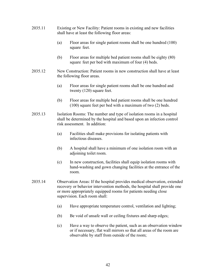- 2035.11 Existing or New Facility: Patient rooms in existing and new facilities shall have at least the following floor areas:
	- (a) Floor areas for single patient rooms shall be one hundred (100) square feet.
	- (b) Floor areas for multiple bed patient rooms shall be eighty (80) square feet per bed with maximum of four (4) beds.
- 2035.12 New Construction: Patient rooms in new construction shall have at least the following floor areas.
	- (a) Floor areas for single patient rooms shall be one hundred and twenty (120) square feet.
	- (b) Floor areas for multiple bed patient rooms shall be one hundred (100) square feet per bed with a maximum of two (2) beds.
- 2035.13 Isolation Rooms: The number and type of isolation rooms in a hospital shall be determined by the hospital and based upon an infection control risk assessment. In addition:
	- (a) Facilities shall make provisions for isolating patients with infectious diseases.
	- (b) A hospital shall have a minimum of one isolation room with an adjoining toilet room.
	- (c) In new construction, facilities shall equip isolation rooms with hand-washing and gown changing facilities at the entrance of the room.
- 2035.14 Observation Areas: If the hospital provides medical observation, extended recovery or behavior intervention methods, the hospital shall provide one or more appropriately equipped rooms for patients needing close supervision. Each room shall:
	- (a) Have appropriate temperature control, ventilation and lighting;
	- (b) Be void of unsafe wall or ceiling fixtures and sharp edges;
	- (c) Have a way to observe the patient, such as an observation window or if necessary, flat wall mirrors so that all areas of the room are observable by staff from outside of the room;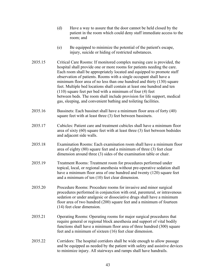- (d) Have a way to assure that the door cannot be held closed by the patient in the room which could deny staff immediate access to the room; and
- (e) Be equipped to minimize the potential of the patient's escape, injury, suicide or hiding of restricted substances.
- 2035.15 Critical Care Rooms: If monitored complex nursing care is provided, the hospital shall provide one or more rooms for patients needing the care. Each room shall be appropriately located and equipped to promote staff observation of patients. Rooms with a single occupant shall have a minimum floor area of no less than one hundred and thirty (130) square feet. Multiple bed locations shall contain at least one hundred and ten (110) square feet per bed with a minimum of four (4) feet between beds. The room shall include provision for life support, medical gas, sleeping, and convenient bathing and toileting facilities.
- 2035.16 Bassinets: Each bassinet shall have a minimum floor area of forty (40) square feet with at least three (3) feet between bassinets.
- 2035.17 Cubicles: Patient care and treatment cubicles shall have a minimum floor area of sixty (60) square feet with at least three (3) feet between bedsides and adjacent side walls.
- 2035.18 Examination Rooms: Each examination room shall have a minimum floor area of eighty (80) square feet and a minimum of three (3) feet clear dimension around three (3) sides of the examination table or chair.
- 2035.19 Treatment Rooms: Treatment room for procedures performed under topical, local, or regional anesthesia without pre-operative sedation shall have a minimum floor area of one hundred and twenty (120) square feet and a minimum of ten (10) feet clear dimension.
- 2035.20 Procedure Rooms: Procedure rooms for invasive and minor surgical procedures performed in conjunction with oral, parenteral, or intravenous sedation or under analgesic or dissociative drugs shall have a minimum floor area of two hundred (200) square feet and a minimum of fourteen (14) feet clear dimension.
- 2035.21 Operating Rooms: Operating rooms for major surgical procedures that require general or regional block anesthesia and support of vital bodily functions shall have a minimum floor area of three hundred (300) square feet and a minimum of sixteen (16) feet clear dimension.
- 2035.22 Corridors: The hospital corridors shall be wide enough to allow passage and be equipped as needed by the patient with safety and assistive devices to minimize injury. All stairways and ramps shall have handrails.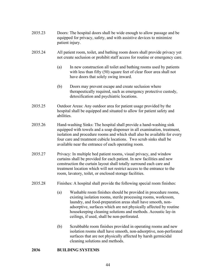- 2035.23 Doors: The hospital doors shall be wide enough to allow passage and be equipped for privacy, safety, and with assistive devices to minimize patient injury.
- 2035.24 All patient room, toilet, and bathing room doors shall provide privacy yet not create seclusion or prohibit staff access for routine or emergency care.
	- (a) In new construction all toilet and bathing rooms used by patients with less than fifty (50) square feet of clear floor area shall not have doors that solely swing inward.
	- (b) Doors may prevent escape and create seclusion where therapeutically required, such as emergency protective custody, detoxification and psychiatric locations.
- 2035.25 Outdoor Areas: Any outdoor area for patient usage provided by the hospital shall be equipped and situated to allow for patient safety and abilities.
- 2035.26 Hand-washing Sinks: The hospital shall provide a hand-washing sink equipped with towels and a soap dispenser in all examination, treatment, isolation and procedure rooms and which shall also be available for every four care and treatment cubicle locations. Two scrub sinks shall be available near the entrance of each operating room.
- 2035.27 Privacy: In multiple bed patient rooms, visual privacy, and window curtains shall be provided for each patient. In new facilities and new construction the curtain layout shall totally surround each care and treatment location which will not restrict access to the entrance to the room, lavatory, toilet, or enclosed storage facilities.
- 2035.28 Finishes: A hospital shall provide the following special room finishes:
	- (a) Washable room finishes should be provided in procedure rooms, existing isolation rooms, sterile processing rooms, workroom, laundry, and food-preparation areas shall have smooth, non adsorptive, surfaces which are not physically affected by routine housekeeping cleaning solutions and methods. Acoustic lay-in ceilings, if used, shall be non-perforated.
	- (b) Scrubbable room finishes provided in operating rooms and new isolation rooms shall have smooth, non-adsorptive, non-perforated surfaces that are not physically affected by harsh germicidal cleaning solutions and methods.

#### **2036 BUILDING SYSTEMS**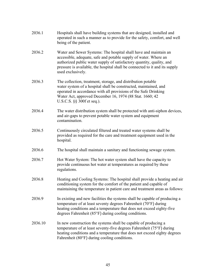| 2036.1  | Hospitals shall have building systems that are designed, installed and<br>operated in such a manner as to provide for the safety, comfort, and well<br>being of the patient.                                                                                                                                      |
|---------|-------------------------------------------------------------------------------------------------------------------------------------------------------------------------------------------------------------------------------------------------------------------------------------------------------------------|
| 2036.2  | Water and Sewer Systems: The hospital shall have and maintain an<br>accessible, adequate, safe and potable supply of water. Where an<br>authorized public water supply of satisfactory quantity, quality, and<br>pressure is available, the hospital shall be connected to it and its supply<br>used exclusively. |
| 2036.3  | The collection, treatment, storage, and distribution potable<br>water system of a hospital shall be constructed, maintained, and<br>operated in accordance with all provisions of the Safe Drinking<br>Water Act, approved December 16, 1974 (88 Stat. 1660; 42<br>U.S.C.S. §§ 300f et seq.).                     |
| 2036.4  | The water distribution system shall be protected with anti-siphon devices,<br>and air-gaps to prevent potable water system and equipment<br>contamination.                                                                                                                                                        |
| 2036.5  | Continuously circulated filtered and treated water systems shall be<br>provided as required for the care and treatment equipment used in the<br>hospital.                                                                                                                                                         |
| 2036.6  | The hospital shall maintain a sanitary and functioning sewage system.                                                                                                                                                                                                                                             |
| 2036.7  | Hot Water System: The hot water system shall have the capacity to<br>provide continuous hot water at temperatures as required by these<br>regulations.                                                                                                                                                            |
| 2036.8  | Heating and Cooling Systems: The hospital shall provide a heating and air<br>conditioning system for the comfort of the patient and capable of<br>maintaining the temperature in patient care and treatment areas as follows:                                                                                     |
| 2036.9  | In existing and new facilities the systems shall be capable of producing a<br>temperature of at least seventy degrees Fahrenheit (70°F) during<br>heating conditions and a temperature that does not exceed eighty-five<br>degrees Fahrenheit (85°F) during cooling conditions.                                   |
| 2036.10 | In new construction the systems shall be capable of producing a<br>temperature of at least seventy-five degrees Fahrenheit (75°F) during<br>heating conditions and a temperature that does not exceed eighty degrees<br>Fahrenheit (80°F) during cooling conditions.                                              |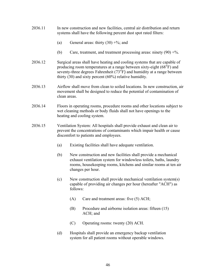- 2036.11 In new construction and new facilities, central air distribution and return systems shall have the following percent dust spot rated filters:
	- (a) General areas: thirty  $(30) + %$ ; and
	- (b) Care, treatment, and treatment processing areas: ninety  $(90) + %$ .
- 2036.12 Surgical areas shall have heating and cooling systems that are capable of producing room temperatures at a range between sixty-eight (68°F) and seventy-three degrees Fahrenheit (73°F) and humidity at a range between thirty (30) and sixty percent (60%) relative humidity.
- 2036.13 Airflow shall move from clean to soiled locations. In new construction, air movement shall be designed to reduce the potential of contamination of clean areas.
- 2036.14 Floors in operating rooms, procedure rooms and other locations subject to wet cleaning methods or body fluids shall not have openings to the heating and cooling system.
- 2036.15 Ventilation System: All hospitals shall provide exhaust and clean air to prevent the concentrations of contaminants which impair health or cause discomfort to patients and employees.
	- (a) Existing facilities shall have adequate ventilation.
	- (b) New construction and new facilities shall provide a mechanical exhaust ventilation system for windowless toilets, baths, laundry rooms, housekeeping rooms, kitchens and similar rooms at ten air changes per hour.
	- (c) New construction shall provide mechanical ventilation system(s) capable of providing air changes per hour (hereafter "ACH") as follows:
		- (A) Care and treatment areas: five (5) ACH;
		- (B) Procedure and airborne isolation areas: fifteen (15) ACH; and
		- (C) Operating rooms: twenty (20) ACH.
	- (d) Hospitals shall provide an emergency backup ventilation system for all patient rooms without operable windows.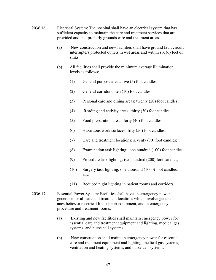- 2036.16 Electrical System: The hospital shall have an electrical system that has sufficient capacity to maintain the care and treatment services that are provided and that properly grounds care and treatment areas.
	- (a) New construction and new facilities shall have ground fault circuit interrupters protected outlets in wet areas and within six (6) feet of sinks.
	- (b) All facilities shall provide the minimum average illumination levels as follows:
		- (1) General purpose areas: five (5) foot candles;
		- (2) General corridors: ten (10) foot candles;
		- (3) Personal care and dining areas: twenty (20) foot candles;
		- (4) Reading and activity areas: thirty (30) foot candles;
		- (5) Food preparation areas: forty (40) foot candles;
		- (6) Hazardous work surfaces: fifty (50) foot candles;
		- (7) Care and treatment locations: seventy (70) foot candles;
		- (8) Examination task lighting: one hundred (100) foot candles;
		- (9) Procedure task lighting: two hundred (200) foot candles;
		- (10) Surgery task lighting: one thousand (1000) foot candles; and
		- (11) Reduced night lighting in patient rooms and corridors.
- 2036.17 Essential Power System: Facilities shall have an emergency power generator for all care and treatment locations which involve general anesthetics or electrical life support equipment, and in emergency procedure and treatment rooms.
	- (a) Existing and new facilities shall maintain emergency power for essential care and treatment equipment and lighting, medical gas systems, and nurse call systems.
	- (b) New construction shall maintain emergency power for essential care and treatment equipment and lighting, medical gas systems, ventilation and heating systems, and nurse call systems.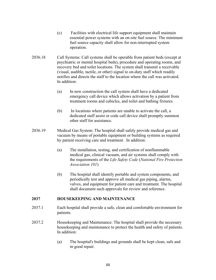- (c) Facilities with electrical life support equipment shall maintain essential power systems with an on-site fuel source. The minimum fuel source capacity shall allow for non-interrupted system operation.
- 2036.18 Call Systems: Call systems shall be operable from patient beds (except at psychiatric or mental hospital beds), procedure and operating rooms, and recovery bed and toilet locations. The system shall transmit a receivable (visual, audible, tactile, or other) signal to on-duty staff which readily notifies and directs the staff to the location where the call was activated. In addition:
	- (a) In new construction the call system shall have a dedicated emergency call device which allows activation by a patient from treatment rooms and cubicles, and toilet and bathing fixtures.
	- (b) In locations where patients are unable to activate the call, a dedicated staff assist or code call device shall promptly summon other staff for assistance.
- 2036.19 Medical Gas System: The hospital shall safely provide medical gas and vacuum by means of portable equipment or building systems as required by patient receiving care and treatment. In addition:
	- (a) The installation, testing, and certification of nonflammable medical gas, clinical vacuum, and air systems shall comply with the requirements of the *Life Safety Code* (*National Fire Protection Association 101*)*.*
	- (b) The hospital shall identify portable and system components, and periodically test and approve all medical gas piping, alarms, valves, and equipment for patient care and treatment. The hospital shall document such approvals for review and reference.

#### **2037 HOUSEKEEPING AND MAINTENANCE**

- 2037.1 Each hospital shall provide a safe, clean and comfortable environment for patients.
- 2037.2 Housekeeping and Maintenance: The hospital shall provide the necessary housekeeping and maintenance to protect the health and safety of patients. In addition:
	- (a) The hospital's buildings and grounds shall be kept clean, safe and in good repair.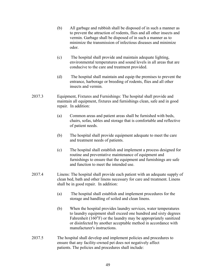- (b) All garbage and rubbish shall be disposed of in such a manner as to prevent the attraction of rodents, flies and all other insects and vermin. Garbage shall be disposed of in such a manner as to minimize the transmission of infectious diseases and minimize odor.
- (c) The hospital shall provide and maintain adequate lighting, environmental temperatures and sound levels in all areas that are conducive to the care and treatment provided.
- (d) The hospital shall maintain and equip the premises to prevent the entrance, harborage or breeding of rodents, flies and all other insects and vermin.
- 2037.3 Equipment, Fixtures and Furnishings: The hospital shall provide and maintain all equipment, fixtures and furnishings clean, safe and in good repair. In addition:
	- (a) Common areas and patient areas shall be furnished with beds, chairs, sofas, tables and storage that is comfortable and reflective of patient needs.
	- (b) The hospital shall provide equipment adequate to meet the care and treatment needs of patients.
	- (c) The hospital shall establish and implement a process designed for routine and preventative maintenance of equipment and furnishings to ensure that the equipment and furnishings are safe and function to meet the intended use.
- 2037.4 Linens: The hospital shall provide each patient with an adequate supply of clean bed, bath and other linens necessary for care and treatment. Linens shall be in good repair. In addition:
	- (a) The hospital shall establish and implement procedures for the storage and handling of soiled and clean linens.
	- (b) When the hospital provides laundry services, water temperatures to laundry equipment shall exceed one hundred and sixty degrees Fahrenheit (160°F) or the laundry may be appropriately sanitized or disinfected by another acceptable method in accordance with manufacturer's instructions.
- 2037.5 The hospital shall develop and implement policies and procedures to ensure that any facility-owned pet does not negatively affect patients. The policies and procedures shall include: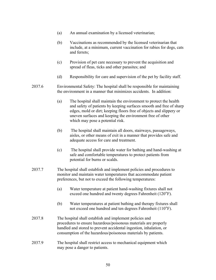- (a) An annual examination by a licensed veterinarian;
- (b) Vaccinations as recommended by the licensed veterinarian that include, at a minimum, current vaccination for rabies for dogs, cats and ferrets;
- (c) Provision of pet care necessary to prevent the acquisition and spread of fleas, ticks and other parasites; and
- (d) Responsibility for care and supervision of the pet by facility staff.
- 2037.6 Environmental Safety: The hospital shall be responsible for maintaining the environment in a manner that minimizes accidents. In addition:
	- (a) The hospital shall maintain the environment to protect the health and safety of patients by keeping surfaces smooth and free of sharp edges, mold or dirt; keeping floors free of objects and slippery or uneven surfaces and keeping the environment free of other which may pose a potential risk.
	- (b) The hospital shall maintain all doors, stairways, passageways, aisles, or other means of exit in a manner that provides safe and adequate access for care and treatment.
	- (c) The hospital shall provide water for bathing and hand-washing at safe and comfortable temperatures to protect patients from potential for burns or scalds.
- 2037.7 The hospital shall establish and implement policies and procedures to monitor and maintain water temperatures that accommodate patient preferences, but not to exceed the following temperatures:
	- (a) Water temperature at patient hand-washing fixtures shall not exceed one hundred and twenty degrees Fahrenheit (120°F).
	- (b) Water temperatures at patient bathing and therapy fixtures shall not exceed one hundred and ten degrees Fahrenheit (110°F).
- 2037.8The hospital shall establish and implement policies and procedures to ensure hazardous/poisonous materials are properly handled and stored to prevent accidental ingestion, inhalation, or consumption of the hazardous/poisonous materials by patients.
- 2037.9 The hospital shall restrict access to mechanical equipment which may pose a danger to patients.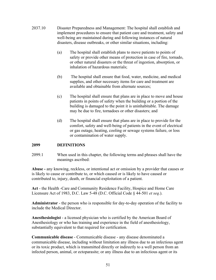- 2037.10 Disaster Preparedness and Management: The hospital shall establish and implement procedures to ensure that patient care and treatment, safety and well-being are maintained during and following instances of natural disasters, disease outbreaks, or other similar situations, including:
	- (a) The hospital shall establish plans to move patients to points of safety or provide other means of protection in case of fire, tornado, or other natural disasters or the threat of ingestion, absorption, or inhalation of hazardous materials;
	- (b) The hospital shall ensure that food, water, medicine, and medical supplies, and other necessary items for care and treatment are available and obtainable from alternate sources;
	- (c) The hospital shall ensure that plans are in place to move and house patients in points of safety when the building or a portion of the building is damaged to the point it is uninhabitable. The damage may be due to fire, tornadoes or other disasters; and
	- (d) The hospital shall ensure that plans are in place to provide for the comfort, safety and well-being of patients in the event of electrical or gas outage, heating, cooling or sewage systems failure, or loss or contamination of water supply.

# **2099 DEFINITIONS**

2099.1 When used in this chapter, the following terms and phrases shall have the meanings ascribed:

**Abuse -** any knowing, reckless, or intentional act or omission by a provider that causes or is likely to cause or contribute to, or which caused or is likely to have caused or contributed to, injury, death, or financial exploitation of a patient.

**Act** - the Health -Care and Community Residence Facility, Hospice and Home Care Licensure Act of 1983, D.C. Law 5-48 (D.C. Official Code § 44-501 *et seq*.).

**Administrator** - the person who is responsible for day-to-day operation of the facility to include the Medical Director.

**Anesthesiologist** - a licensed physician who is certified by the American Board of Anesthesiology or who has training and experience in the field of anesthesiology, substantially equivalent to that required for certification.

**Communicable disease** - Communicable disease - any disease denominated a communicable disease, including without limitation any illness due to an infectious agent or its toxic product, which is transmitted directly or indirectly to a well person from an infected person, animal, or ectoparasite; or any illness due to an infectious agent or its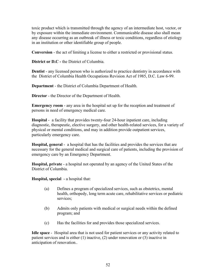toxic product which is transmitted through the agency of an intermediate host, vector, or by exposure within the immediate environment. Communicable disease also shall mean any disease occurring as an outbreak of illness or toxic conditions, regardless of etiology in an institution or other identifiable group of people.

**Conversion** - the act of limiting a license to either a restricted or provisional status.

**District or D.C -** the District of Columbia.

**Dentist** - any licensed person who is authorized to practice dentistry in accordance with the District of Columbia Health Occupations Revision Act of 1985, D.C. Law 6-99.

**Department** - the District of Columbia Department of Health.

**Director** - the Director of the Department of Health.

**Emergency room** - any area in the hospital set up for the reception and treatment of persons in need of emergency medical care.

**Hospital** - a facility that provides twenty-four 24-hour inpatient care, including diagnostic, therapeutic, elective surgery, and other health-related services, for a variety of physical or mental conditions, and may in addition provide outpatient services, particularly emergency care.

**Hospital, general** - a hospital that has the facilities and provides the services that are necessary for the general medical and surgical care of patients, including the provision of emergency care by an Emergency Department.

**Hospital, private** - a hospital not operated by an agency of the United States of the District of Columbia.

**Hospital, special** - a hospital that:

- (a) Defines a program of specialized services, such as obstetrics, mental health, orthopedy, long term acute care, rehabilitative services or pediatric services;
- (b) Admits only patients with medical or surgical needs within the defined program; and
- (c) Has the facilities for and provides those specialized services.

**Idle space** - Hospital area that is not used for patient services or any activity related to patient services and is either (1) inactive, (2) under renovation or (3) inactive in anticipation of renovation..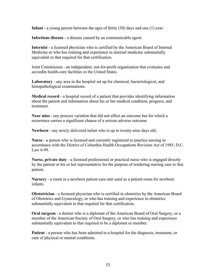**Infant** - a young person between the ages of thirty (30) days and one (1) year.

**Infectious disease** - a disease caused by an communicable agent.

**Internist** - a licensed physician who is certified by the American Board of Internal Medicine or who has training and experience in internal medicine substantially equivalent to that required for that certification.

Joint Commission - an independent, not-for-profit organization that evaluates and accredits health-care facilities in the United States.

**Laboratory** - any area in the hospital set up for chemical, bacteriological, and histopathological examinations.

**Medical record** - a hospital record of a patient that provides identifying information about the patient and information about his or her medical condition, progress, and treatment.

**Near miss** - any process variation that did not affect an outcome but for which a recurrence carries a significant chance of a serious adverse outcome

**Newborn** - any newly delivered infant who is up to twenty-nine days old..

**Nurse** - a person who is licensed and currently registered to practice nursing in accordance with the District of Columbia Health Occupations Revision Act of 1985, D.C. Law 6-99.

**Nurse, private duty** - a licensed professional or practical nurse who is engaged directly by the patient or his or her representative for the purpose of rendering nursing care to that patient.

**Nursery** - a room in a newborn patient care unit used as a patient room for newborn infants.

**Obstetrician** - a licensed physician who is certified in obstetrics by the American Board of Obstetrics and Gynecology, or who has training and experience in obstetrics substantially equivalent to that required for that certification.

**Oral surgeon** - a dentist who is a diplomat of the American Board of Oral Surgery, or a member of the American Society of Oral Surgery, or who has training and experience substantially equivalent to that required to be a diplomat or member.

**Patient** - a person who has been admitted to a hospital for the diagnosis, treatment, or care of physical or mental conditions.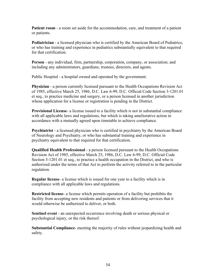**Patient room** - a room set aside for the accommodation, care, and treatment of a patient or patients.

**Pediatrician** - a licensed physician who is certified by the American Board of Pediatrics, or who has training and experience in pediatrics substantially equivalent to that required for that certification.

**Person** - any individual, firm, partnership, corporation, company, or association; and including any administrators, guardians, trustees, directors, and agents.

Public Hospital - a hospital owned and operated by the government.

**Physician** - a person currently licensed pursuant to the Health Occupations Revision Act of 1985, effective March 25, 1986, D.C. Law 6-99, D.C. Official Code Section 3-1201.01 et seq., to practice medicine and surgery, or a person licensed in another jurisdiction whose application for a license or registration is pending in the District.

**Provisional License**- a license issued to a facility which is not in substantial compliance with all applicable laws and regulations, but which is taking ameliorative action in accordance with a mutually agreed upon timetable to achieve compliance.

**Psychiatrist** - a licensed physician who is certified in psychiatry by the American Board of Neurology and Psychiatry, or who has substantial training and experience in psychiatry equivalent to that required for that certification.

**Qualified Health Professional** - a person licensed pursuant to the Health Occupations Revision Act of 1985, effective March 25, 1986, D.C. Law 6-99, D.C. Official Code Section 3-1201.01 et seq., to practice a health occupation in the District, and who is authorized under the terms of that Act to perform the activity referred to in the particular regulation.

**Regular license**- a license which is issued for one year to a facility which is in compliance with all applicable laws and regulations.

**Restricted license**- a license which permits operation of a facility but prohibits the facility from accepting new residents and patients or from delivering services that it would otherwise be authorized to deliver, or both.

**Sentinel event** - an unexpected occurrence involving death or serious physical or psychological injury, or the risk thereof.

**Substantial Compliance**- meeting the majority of rules without jeopardizing health and safety.